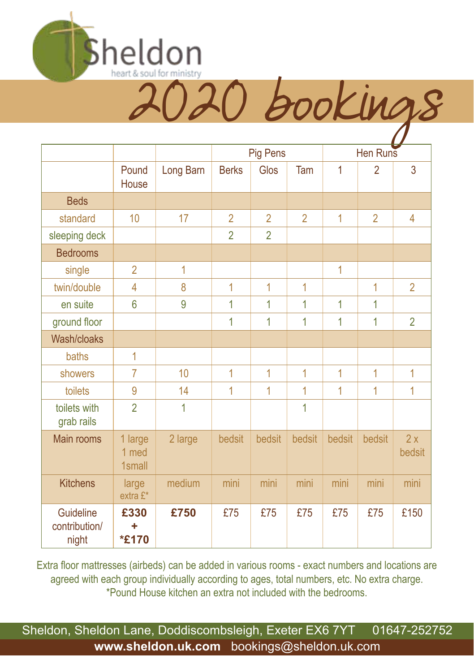

Pig Pens Hen Runs Pound **House** Long Barn | Berks | Glos | Tam | 1 | 2 | 3 Beds standard | 10 | 17 | 2 | 2 | 2 | 1 | 2 | 4 sleeping deck 2 2 2 Bedrooms single 2 1 1 | | | | 1 twin/double | 4 | 8 | 1 | 1 | 1 | 1 | 2 en suite | 6 | 9 | 1 | 1 | 1 | 1 | 1 ground floor  $\begin{vmatrix} 1 & 1 & 1 & 1 & 1 & 1 & 1 & 2 \ 1 & 1 & 1 & 1 & 1 & 1 & 2 \end{vmatrix}$ Wash/cloaks  $baths$  1 showers | 7 | 10 | 1 | 1 | 1 | 1 | 1 | 1 toilets | 9 | 14 | 1 | 1 | 1 | 1 | 1 | 1 toilets with grab rails 2 1 1 1 Main rooms 1 large 1 med 1small 2 large bedsit bedsit bedsit bedsit bedsit 2 x bedsit Kitchens | large extra £\* medium | mini | mini | mini | mini | mini Guideline contribution/ night **£330 + \*£170 £750** £75 £75 £75 £75 £75 £150

Extra floor mattresses (airbeds) can be added in various rooms - exact numbers and locations are agreed with each group individually according to ages, total numbers, etc. No extra charge. \*Pound House kitchen an extra not included with the bedrooms.

Sheldon, Sheldon Lane, Doddiscombsleigh, Exeter EX6 7YT 01647-252752 **www.sheldon.uk.com** bookings@sheldon.uk.com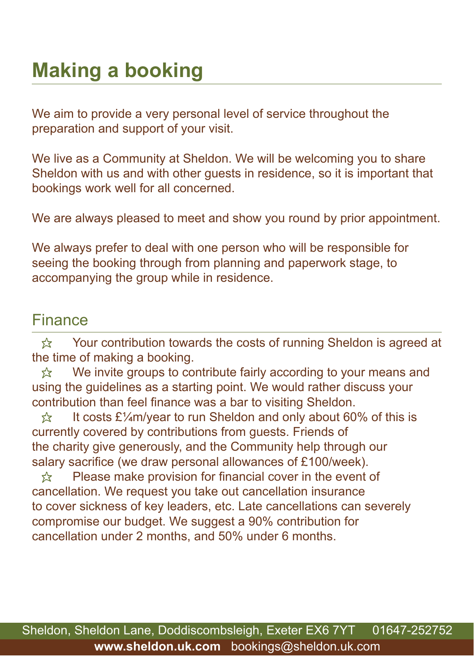## **Making a booking**

We aim to provide a very personal level of service throughout the preparation and support of your visit.

We live as a Community at Sheldon. We will be welcoming you to share Sheldon with us and with other guests in residence, so it is important that bookings work well for all concerned.

We are always pleased to meet and show you round by prior appointment.

We always prefer to deal with one person who will be responsible for seeing the booking through from planning and paperwork stage, to accompanying the group while in residence.

#### Finance

 $\hat{\mathbb{X}}$  Your contribution towards the costs of running Sheldon is agreed at the time of making a booking.

 $\hat{x}$  We invite groups to contribute fairly according to your means and using the guidelines as a starting point. We would rather discuss your contribution than feel finance was a bar to visiting Sheldon.

 $\frac{1}{2}$  It costs £¼m/year to run Sheldon and only about 60% of this is currently covered by contributions from guests. Friends of the charity give generously, and the Community help through our salary sacrifice (we draw personal allowances of £100/week).

 $\hat{\mathbb{X}}$  Please make provision for financial cover in the event of cancellation. We request you take out cancellation insurance to cover sickness of key leaders, etc. Late cancellations can severely compromise our budget. We suggest a 90% contribution for cancellation under 2 months, and 50% under 6 months.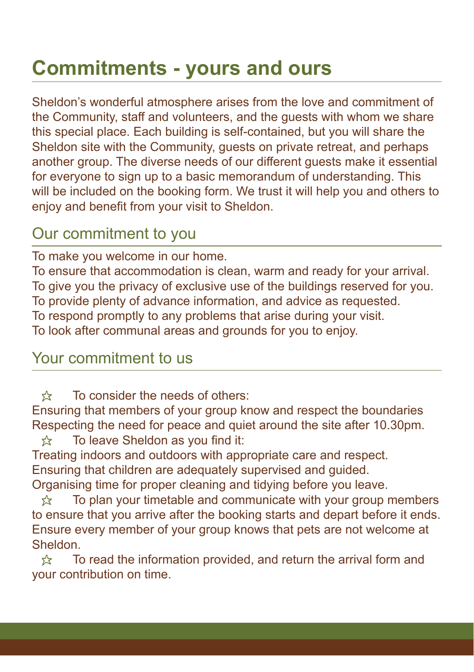## **Commitments - yours and ours**

Sheldon's wonderful atmosphere arises from the love and commitment of the Community, staff and volunteers, and the guests with whom we share this special place. Each building is self-contained, but you will share the Sheldon site with the Community, guests on private retreat, and perhaps another group. The diverse needs of our different guests make it essential for everyone to sign up to a basic memorandum of understanding. This will be included on the booking form. We trust it will help you and others to enjoy and benefit from your visit to Sheldon.

### Our commitment to you

To make you welcome in our home.

To ensure that accommodation is clean, warm and ready for your arrival. To give you the privacy of exclusive use of the buildings reserved for you. To provide plenty of advance information, and advice as requested. To respond promptly to any problems that arise during your visit. To look after communal areas and grounds for you to enjoy.

#### Your commitment to us

 $\leftrightarrow$  To consider the needs of others:

Ensuring that members of your group know and respect the boundaries Respecting the need for peace and quiet around the site after 10.30pm.

 $\hat{x}$  To leave Sheldon as you find it:

Treating indoors and outdoors with appropriate care and respect. Ensuring that children are adequately supervised and guided. Organising time for proper cleaning and tidying before you leave.

 $\hat{\varphi}$  To plan your timetable and communicate with your group members to ensure that you arrive after the booking starts and depart before it ends. Ensure every member of your group knows that pets are not welcome at Sheldon.

 $\hat{\mathbb{X}}$  To read the information provided, and return the arrival form and your contribution on time.